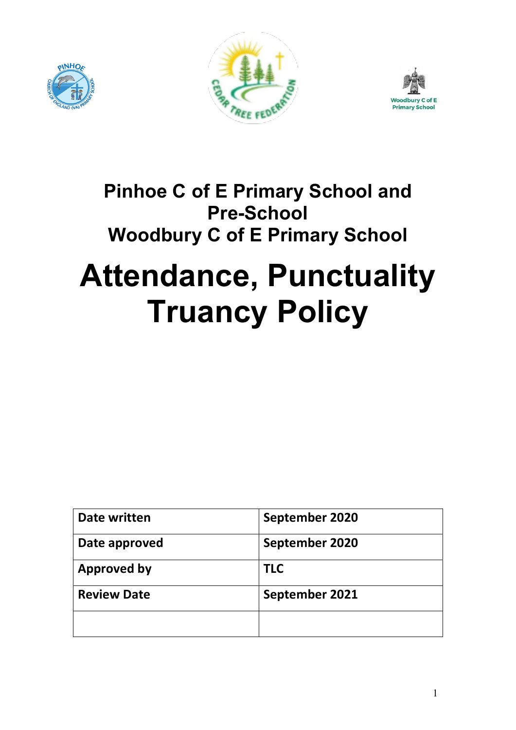





# Pinhoe C of E Primary School and Pre-School Woodbury C of E Primary School

# Attendance, Punctuality Truancy Policy

| Date written       | September 2020 |  |
|--------------------|----------------|--|
| Date approved      | September 2020 |  |
| <b>Approved by</b> | <b>TLC</b>     |  |
| <b>Review Date</b> | September 2021 |  |
|                    |                |  |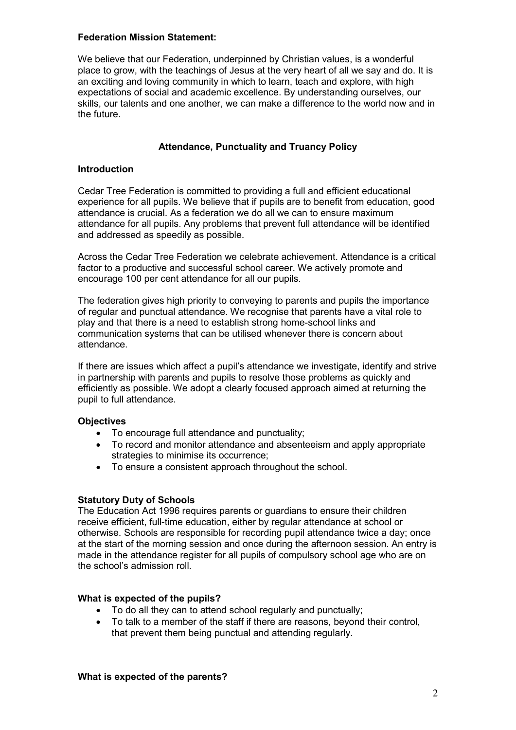### Federation Mission Statement:

We believe that our Federation, underpinned by Christian values, is a wonderful place to grow, with the teachings of Jesus at the very heart of all we say and do. It is an exciting and loving community in which to learn, teach and explore, with high expectations of social and academic excellence. By understanding ourselves, our skills, our talents and one another, we can make a difference to the world now and in the future.

# Attendance, Punctuality and Truancy Policy

### Introduction

Cedar Tree Federation is committed to providing a full and efficient educational experience for all pupils. We believe that if pupils are to benefit from education, good attendance is crucial. As a federation we do all we can to ensure maximum attendance for all pupils. Any problems that prevent full attendance will be identified and addressed as speedily as possible.

Across the Cedar Tree Federation we celebrate achievement. Attendance is a critical factor to a productive and successful school career. We actively promote and encourage 100 per cent attendance for all our pupils.

The federation gives high priority to conveying to parents and pupils the importance of regular and punctual attendance. We recognise that parents have a vital role to play and that there is a need to establish strong home-school links and communication systems that can be utilised whenever there is concern about attendance.

If there are issues which affect a pupil's attendance we investigate, identify and strive in partnership with parents and pupils to resolve those problems as quickly and efficiently as possible. We adopt a clearly focused approach aimed at returning the pupil to full attendance.

# **Objectives**

- To encourage full attendance and punctuality;
- To record and monitor attendance and absenteeism and apply appropriate strategies to minimise its occurrence;
- To ensure a consistent approach throughout the school.

# Statutory Duty of Schools

The Education Act 1996 requires parents or guardians to ensure their children receive efficient, full-time education, either by regular attendance at school or otherwise. Schools are responsible for recording pupil attendance twice a day; once at the start of the morning session and once during the afternoon session. An entry is made in the attendance register for all pupils of compulsory school age who are on the school's admission roll.

#### What is expected of the pupils?

- To do all they can to attend school regularly and punctually;
- To talk to a member of the staff if there are reasons, beyond their control, that prevent them being punctual and attending regularly.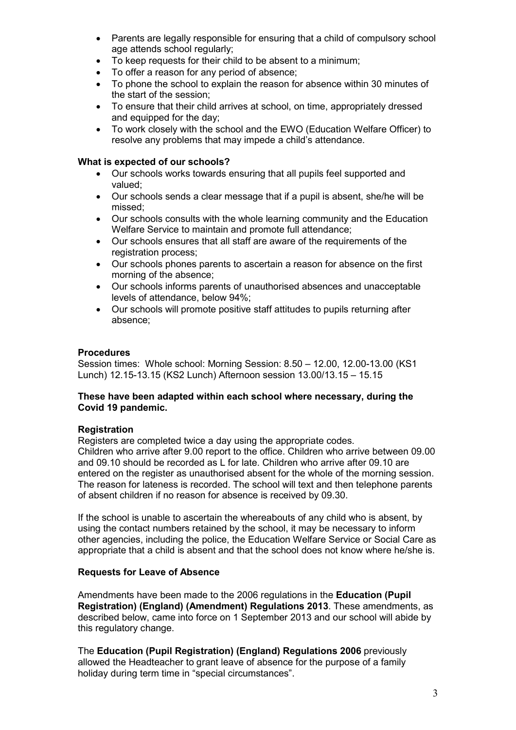- Parents are legally responsible for ensuring that a child of compulsory school age attends school regularly;
- To keep requests for their child to be absent to a minimum;
- To offer a reason for any period of absence;
- To phone the school to explain the reason for absence within 30 minutes of the start of the session;
- To ensure that their child arrives at school, on time, appropriately dressed and equipped for the day;
- To work closely with the school and the EWO (Education Welfare Officer) to resolve any problems that may impede a child's attendance.

# What is expected of our schools?

- Our schools works towards ensuring that all pupils feel supported and valued;
- Our schools sends a clear message that if a pupil is absent, she/he will be missed;
- Our schools consults with the whole learning community and the Education Welfare Service to maintain and promote full attendance;
- Our schools ensures that all staff are aware of the requirements of the registration process;
- Our schools phones parents to ascertain a reason for absence on the first morning of the absence;
- Our schools informs parents of unauthorised absences and unacceptable levels of attendance, below 94%;
- Our schools will promote positive staff attitudes to pupils returning after absence;

# **Procedures**

Session times: Whole school: Morning Session: 8.50 – 12.00, 12.00-13.00 (KS1 Lunch) 12.15-13.15 (KS2 Lunch) Afternoon session 13.00/13.15 – 15.15

# These have been adapted within each school where necessary, during the Covid 19 pandemic.

# **Registration**

Registers are completed twice a day using the appropriate codes.

Children who arrive after 9.00 report to the office. Children who arrive between 09.00 and 09.10 should be recorded as L for late. Children who arrive after 09.10 are entered on the register as unauthorised absent for the whole of the morning session. The reason for lateness is recorded. The school will text and then telephone parents of absent children if no reason for absence is received by 09.30.

If the school is unable to ascertain the whereabouts of any child who is absent, by using the contact numbers retained by the school, it may be necessary to inform other agencies, including the police, the Education Welfare Service or Social Care as appropriate that a child is absent and that the school does not know where he/she is.

# Requests for Leave of Absence

Amendments have been made to the 2006 regulations in the Education (Pupil Registration) (England) (Amendment) Regulations 2013. These amendments, as described below, came into force on 1 September 2013 and our school will abide by this regulatory change.

The Education (Pupil Registration) (England) Regulations 2006 previously allowed the Headteacher to grant leave of absence for the purpose of a family holiday during term time in "special circumstances".